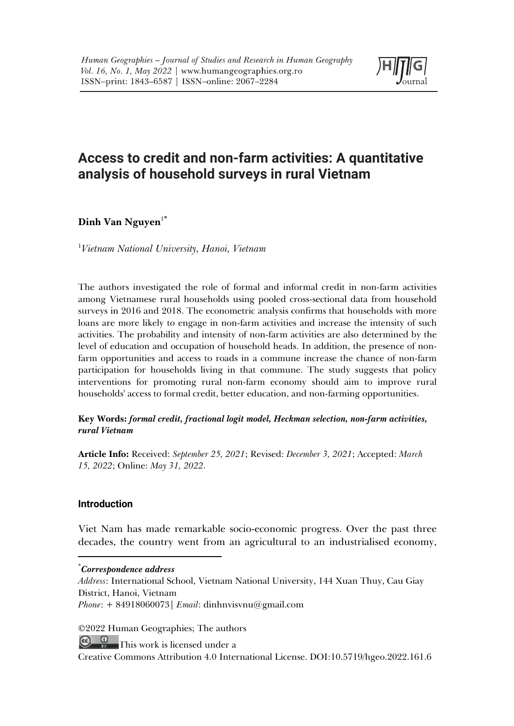

# **Access to credit and non-farm activities: A quantitative analysis of household surveys in rural Vietnam**

# Dinh Van Nguyen<sup>1\*</sup>

1 *Vietnam National University, Hanoi, Vietnam*

The authors investigated the role of formal and informal credit in non-farm activities among Vietnamese rural households using pooled cross-sectional data from household surveys in 2016 and 2018. The econometric analysis confirms that households with more loans are more likely to engage in non-farm activities and increase the intensity of such activities. The probability and intensity of non-farm activities are also determined by the level of education and occupation of household heads. In addition, the presence of nonfarm opportunities and access to roads in a commune increase the chance of non-farm participation for households living in that commune. The study suggests that policy interventions for promoting rural non-farm economy should aim to improve rural households' access to formal credit, better education, and non-farming opportunities.

#### **Key Words:** *formal credit, fractional logit model, Heckman selection, non-farm activities, rural Vietnam*

**Article Info:** Received: *September 25, 2021*; Revised: *December 3, 2021*; Accepted: *March 15, 2022*; Online: *May 31, 2022*.

## **Introduction**

Viet Nam has made remarkable socio-economic progress. Over the past three decades, the country went from an agricultural to an industrialised economy,

#### \* *Correspondence address*

*Address*: International School, Vietnam National University, 144 Xuan Thuy, Cau Giay District, Hanoi, Vietnam *Phone*: + 84918060073| *Email*: dinhnvisvnu@gmail.com

©2022 Human Geographies; The authors

 $\bigoplus_{n=1}^{\infty}$  This work is licensed under a

Creative Commons Attribution 4.0 International License. DOI:10.5719/hgeo.2022.161.6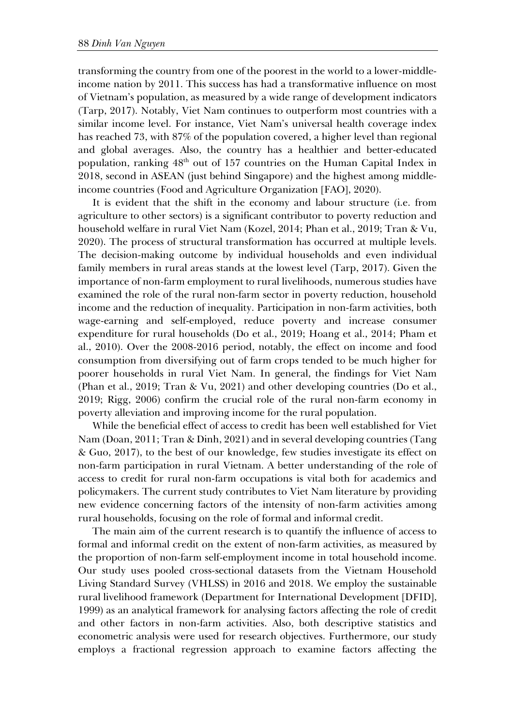transforming the country from one of the poorest in the world to a lower-middleincome nation by 2011. This success has had a transformative influence on most of Vietnam's population, as measured by a wide range of development indicators (Tarp, 2017). Notably, Viet Nam continues to outperform most countries with a similar income level. For instance, Viet Nam's universal health coverage index has reached 73, with 87% of the population covered, a higher level than regional and global averages. Also, the country has a healthier and better-educated population, ranking  $48<sup>th</sup>$  out of 157 countries on the Human Capital Index in 2018, second in ASEAN (just behind Singapore) and the highest among middleincome countries (Food and Agriculture Organization [FAO], 2020).

It is evident that the shift in the economy and labour structure (i.e. from agriculture to other sectors) is a significant contributor to poverty reduction and household welfare in rural Viet Nam (Kozel, 2014; Phan et al., 2019; Tran & Vu, 2020). The process of structural transformation has occurred at multiple levels. The decision-making outcome by individual households and even individual family members in rural areas stands at the lowest level (Tarp, 2017). Given the importance of non-farm employment to rural livelihoods, numerous studies have examined the role of the rural non-farm sector in poverty reduction, household income and the reduction of inequality. Participation in non-farm activities, both wage-earning and self-employed, reduce poverty and increase consumer expenditure for rural households (Do et al., 2019; Hoang et al., 2014; Pham et al., 2010). Over the 2008-2016 period, notably, the effect on income and food consumption from diversifying out of farm crops tended to be much higher for poorer households in rural Viet Nam. In general, the findings for Viet Nam (Phan et al., 2019; Tran & Vu, 2021) and other developing countries (Do et al., 2019; Rigg, 2006) confirm the crucial role of the rural non-farm economy in poverty alleviation and improving income for the rural population.

While the beneficial effect of access to credit has been well established for Viet Nam (Doan, 2011; Tran & Dinh, 2021) and in several developing countries (Tang & Guo, 2017), to the best of our knowledge, few studies investigate its effect on non-farm participation in rural Vietnam. A better understanding of the role of access to credit for rural non-farm occupations is vital both for academics and policymakers. The current study contributes to Viet Nam literature by providing new evidence concerning factors of the intensity of non-farm activities among rural households, focusing on the role of formal and informal credit.

The main aim of the current research is to quantify the influence of access to formal and informal credit on the extent of non-farm activities, as measured by the proportion of non-farm self-employment income in total household income. Our study uses pooled cross-sectional datasets from the Vietnam Household Living Standard Survey (VHLSS) in 2016 and 2018. We employ the sustainable rural livelihood framework (Department for International Development [DFID], 1999) as an analytical framework for analysing factors affecting the role of credit and other factors in non-farm activities. Also, both descriptive statistics and econometric analysis were used for research objectives. Furthermore, our study employs a fractional regression approach to examine factors affecting the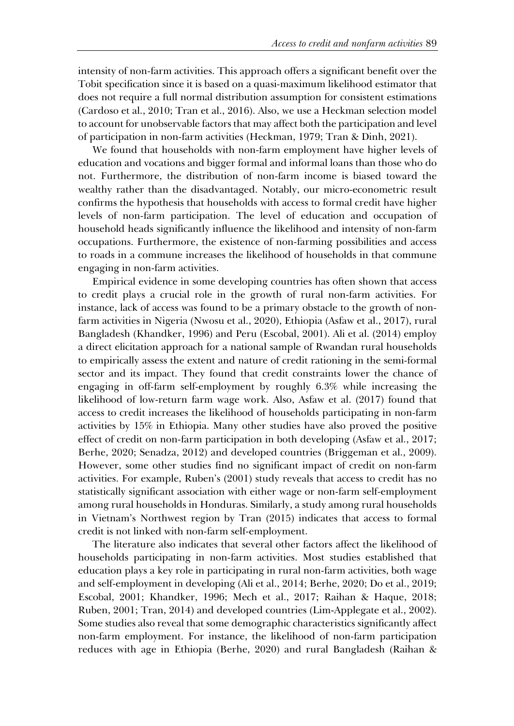intensity of non-farm activities. This approach offers a significant benefit over the Tobit specification since it is based on a quasi-maximum likelihood estimator that does not require a full normal distribution assumption for consistent estimations (Cardoso et al., 2010; Tran et al., 2016). Also, we use a Heckman selection model to account for unobservable factors that may affect both the participation and level of participation in non-farm activities (Heckman, 1979; Tran & Dinh, 2021).

We found that households with non-farm employment have higher levels of education and vocations and bigger formal and informal loans than those who do not. Furthermore, the distribution of non-farm income is biased toward the wealthy rather than the disadvantaged. Notably, our micro-econometric result confirms the hypothesis that households with access to formal credit have higher levels of non-farm participation. The level of education and occupation of household heads significantly influence the likelihood and intensity of non-farm occupations. Furthermore, the existence of non-farming possibilities and access to roads in a commune increases the likelihood of households in that commune engaging in non-farm activities.

Empirical evidence in some developing countries has often shown that access to credit plays a crucial role in the growth of rural non-farm activities. For instance, lack of access was found to be a primary obstacle to the growth of nonfarm activities in Nigeria (Nwosu et al., 2020), Ethiopia (Asfaw et al., 2017), rural Bangladesh (Khandker, 1996) and Peru (Escobal, 2001). Ali et al. (2014) employ a direct elicitation approach for a national sample of Rwandan rural households to empirically assess the extent and nature of credit rationing in the semi-formal sector and its impact. They found that credit constraints lower the chance of engaging in off-farm self-employment by roughly 6.3% while increasing the likelihood of low-return farm wage work. Also, Asfaw et al. (2017) found that access to credit increases the likelihood of households participating in non-farm activities by 15% in Ethiopia. Many other studies have also proved the positive effect of credit on non-farm participation in both developing (Asfaw et al., 2017; Berhe, 2020; Senadza, 2012) and developed countries (Briggeman et al., 2009). However, some other studies find no significant impact of credit on non-farm activities. For example, Ruben's (2001) study reveals that access to credit has no statistically significant association with either wage or non-farm self-employment among rural households in Honduras. Similarly, a study among rural households in Vietnam's Northwest region by Tran (2015) indicates that access to formal credit is not linked with non-farm self-employment.

The literature also indicates that several other factors affect the likelihood of households participating in non-farm activities. Most studies established that education plays a key role in participating in rural non-farm activities, both wage and self-employment in developing (Ali et al., 2014; Berhe, 2020; Do et al., 2019; Escobal, 2001; Khandker, 1996; Mech et al., 2017; Raihan & Haque, 2018; Ruben, 2001; Tran, 2014) and developed countries (Lim‐Applegate et al., 2002). Some studies also reveal that some demographic characteristics significantly affect non-farm employment. For instance, the likelihood of non-farm participation reduces with age in Ethiopia (Berhe, 2020) and rural Bangladesh (Raihan &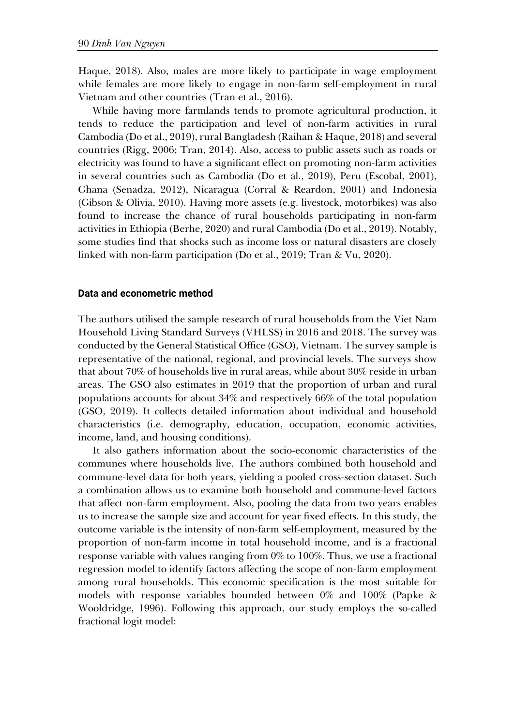Haque, 2018). Also, males are more likely to participate in wage employment while females are more likely to engage in non-farm self-employment in rural Vietnam and other countries (Tran et al., 2016).

While having more farmlands tends to promote agricultural production, it tends to reduce the participation and level of non-farm activities in rural Cambodia (Do et al., 2019), rural Bangladesh (Raihan & Haque, 2018) and several countries (Rigg, 2006; Tran, 2014). Also, access to public assets such as roads or electricity was found to have a significant effect on promoting non-farm activities in several countries such as Cambodia (Do et al., 2019), Peru (Escobal, 2001), Ghana (Senadza, 2012), Nicaragua (Corral & Reardon, 2001) and Indonesia (Gibson & Olivia, 2010). Having more assets (e.g. livestock, motorbikes) was also found to increase the chance of rural households participating in non-farm activities in Ethiopia (Berhe, 2020) and rural Cambodia (Do et al., 2019). Notably, some studies find that shocks such as income loss or natural disasters are closely linked with non-farm participation (Do et al., 2019; Tran & Vu, 2020).

#### **Data and econometric method**

The authors utilised the sample research of rural households from the Viet Nam Household Living Standard Surveys (VHLSS) in 2016 and 2018. The survey was conducted by the General Statistical Office (GSO), Vietnam. The survey sample is representative of the national, regional, and provincial levels. The surveys show that about 70% of households live in rural areas, while about 30% reside in urban areas. The GSO also estimates in 2019 that the proportion of urban and rural populations accounts for about 34% and respectively 66% of the total population (GSO, 2019). It collects detailed information about individual and household characteristics (i.e. demography, education, occupation, economic activities, income, land, and housing conditions).

It also gathers information about the socio-economic characteristics of the communes where households live. The authors combined both household and commune-level data for both years, yielding a pooled cross-section dataset. Such a combination allows us to examine both household and commune-level factors that affect non-farm employment. Also, pooling the data from two years enables us to increase the sample size and account for year fixed effects. In this study, the outcome variable is the intensity of non-farm self-employment, measured by the proportion of non-farm income in total household income, and is a fractional response variable with values ranging from 0% to 100%. Thus, we use a fractional regression model to identify factors affecting the scope of non-farm employment among rural households. This economic specification is the most suitable for models with response variables bounded between 0% and 100% (Papke & Wooldridge, 1996). Following this approach, our study employs the so-called fractional logit model: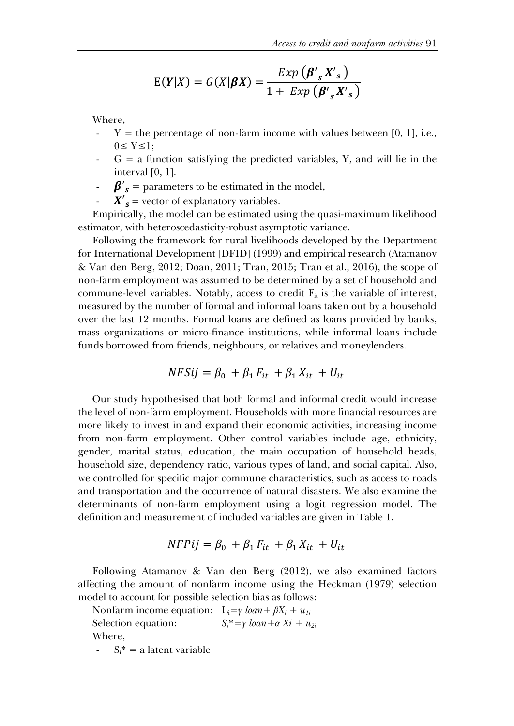$$
E(Y|X) = G(X|\beta X) = \frac{Exp(\beta'_{s}X'_{s})}{1 + Exp(\beta'_{s}X'_{s})}
$$

Where,

- $Y =$  the percentage of non-farm income with values between [0, 1], i.e.,  $0 \leq Y \leq 1$ :
- $G = a$  function satisfying the predicted variables, Y, and will lie in the interval [0, 1].
- $\beta'$ <sub>s</sub> = parameters to be estimated in the model,
- $X'_{s}$  = vector of explanatory variables.

Empirically, the model can be estimated using the quasi-maximum likelihood estimator, with heteroscedasticity-robust asymptotic variance.

Following the framework for rural livelihoods developed by the Department for International Development [DFID] (1999) and empirical research (Atamanov & Van den Berg, 2012; Doan, 2011; Tran, 2015; Tran et al., 2016), the scope of non-farm employment was assumed to be determined by a set of household and commune-level variables. Notably, access to credit  $F_{it}$  is the variable of interest, measured by the number of formal and informal loans taken out by a household over the last 12 months. Formal loans are defined as loans provided by banks, mass organizations or micro-finance institutions, while informal loans include funds borrowed from friends, neighbours, or relatives and moneylenders.

$$
NFSij = \beta_0 + \beta_1 F_{it} + \beta_1 X_{it} + U_{it}
$$

Our study hypothesised that both formal and informal credit would increase the level of non-farm employment. Households with more financial resources are more likely to invest in and expand their economic activities, increasing income from non-farm employment. Other control variables include age, ethnicity, gender, marital status, education, the main occupation of household heads, household size, dependency ratio, various types of land, and social capital. Also, we controlled for specific major commune characteristics, such as access to roads and transportation and the occurrence of natural disasters. We also examine the determinants of non-farm employment using a logit regression model. The definition and measurement of included variables are given in Table 1.

$$
NFPij = \beta_0 + \beta_1 F_{it} + \beta_1 X_{it} + U_{it}
$$

Following Atamanov & Van den Berg (2012), we also examined factors affecting the amount of nonfarm income using the Heckman (1979) selection model to account for possible selection bias as follows:

Nonfarm income equation:  $L_i = \gamma \cdot \text{loan} + \beta X_i + u_{1i}$ Selection equation:  $S_i^* = \gamma \; loan + \alpha \; Xi + u_{2i}$ Where,

 $S_i^* = a$  latent variable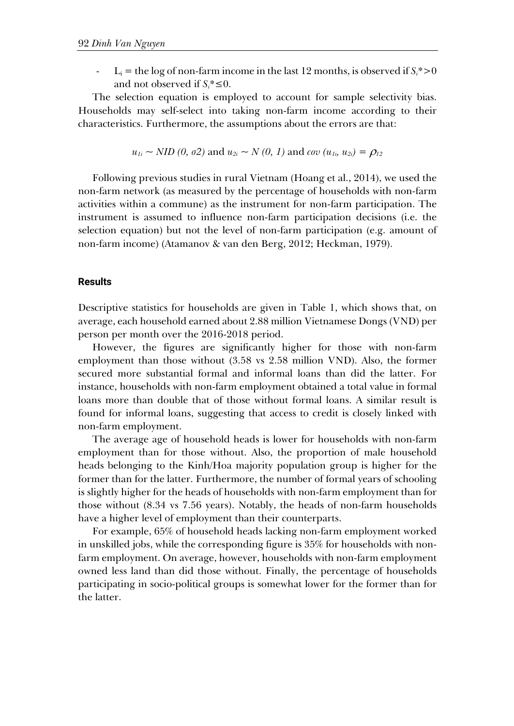$L_i$  = the log of non-farm income in the last 12 months, is observed if  $S_i$ <sup>\*</sup>>0 and not observed if  $S_i^* \leq 0$ .

The selection equation is employed to account for sample selectivity bias. Households may self-select into taking non-farm income according to their characteristics. Furthermore, the assumptions about the errors are that:

$$
u_{1i} \sim NID(0, \sigma2)
$$
 and  $u_{2i} \sim N(0, 1)$  and  $cov(u_{1i}, u_{2i}) = \rho_{12}$ 

Following previous studies in rural Vietnam (Hoang et al., 2014), we used the non-farm network (as measured by the percentage of households with non-farm activities within a commune) as the instrument for non-farm participation. The instrument is assumed to influence non-farm participation decisions (i.e. the selection equation) but not the level of non-farm participation (e.g. amount of non-farm income) (Atamanov & van den Berg, 2012; Heckman, 1979).

### **Results**

Descriptive statistics for households are given in Table 1, which shows that, on average, each household earned about 2.88 million Vietnamese Dongs (VND) per person per month over the 2016-2018 period.

However, the figures are significantly higher for those with non-farm employment than those without (3.58 vs 2.58 million VND). Also, the former secured more substantial formal and informal loans than did the latter. For instance, households with non-farm employment obtained a total value in formal loans more than double that of those without formal loans. A similar result is found for informal loans, suggesting that access to credit is closely linked with non-farm employment.

The average age of household heads is lower for households with non-farm employment than for those without. Also, the proportion of male household heads belonging to the Kinh/Hoa majority population group is higher for the former than for the latter. Furthermore, the number of formal years of schooling is slightly higher for the heads of households with non-farm employment than for those without (8.34 vs 7.56 years). Notably, the heads of non-farm households have a higher level of employment than their counterparts.

For example, 65% of household heads lacking non-farm employment worked in unskilled jobs, while the corresponding figure is 35% for households with nonfarm employment. On average, however, households with non-farm employment owned less land than did those without. Finally, the percentage of households participating in socio-political groups is somewhat lower for the former than for the latter.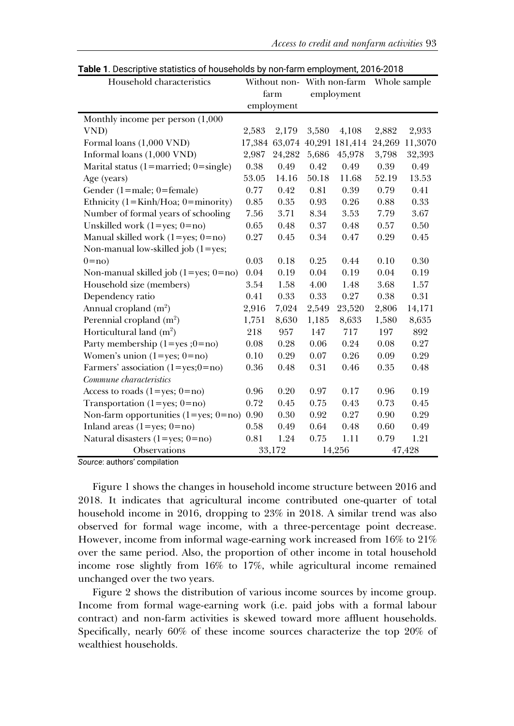| <b>Table 1.</b> Descriptive statistics of households by homanin employment, 2010-2010<br>Household characteristics |        |            | Without non- With non-farm |                              | Whole sample |         |
|--------------------------------------------------------------------------------------------------------------------|--------|------------|----------------------------|------------------------------|--------------|---------|
|                                                                                                                    | farm   |            | employment                 |                              |              |         |
|                                                                                                                    |        | employment |                            |                              |              |         |
| Monthly income per person (1,000                                                                                   |        |            |                            |                              |              |         |
| VND)                                                                                                               | 2,583  | 2,179      | 3,580                      | 4,108                        | 2,882        | 2,933   |
| Formal loans (1,000 VND)                                                                                           |        |            |                            | 17,384 63,074 40,291 181,414 | 24,269       | 11,3070 |
| Informal loans (1,000 VND)                                                                                         | 2,987  | 24,282     | 5,686                      | 45,978                       | 3,798        | 32,393  |
| Marital status (1=married; $0 = \text{single}$ )                                                                   | 0.38   | 0.49       | 0.42                       | 0.49                         | 0.39         | 0.49    |
| Age (years)                                                                                                        | 53.05  | 14.16      | 50.18                      | 11.68                        | 52.19        | 13.53   |
| Gender (1=male; 0=female)                                                                                          | 0.77   | 0.42       | 0.81                       | 0.39                         | 0.79         | 0.41    |
| Ethnicity ( $1 =$ Kinh/Hoa; $0 =$ minority)                                                                        | 0.85   | 0.35       | 0.93                       | 0.26                         | 0.88         | 0.33    |
| Number of formal years of schooling                                                                                | 7.56   | 3.71       | 8.34                       | 3.53                         | 7.79         | 3.67    |
| Unskilled work $(1 = yes; 0 = no)$                                                                                 | 0.65   | 0.48       | 0.37                       | 0.48                         | 0.57         | 0.50    |
| Manual skilled work $(1 = yes; 0 = no)$                                                                            | 0.27   | 0.45       | 0.34                       | 0.47                         | 0.29         | 0.45    |
| Non-manual low-skilled job $(1 = yes;$                                                                             |        |            |                            |                              |              |         |
| $0 = no$                                                                                                           | 0.03   | 0.18       | 0.25                       | 0.44                         | 0.10         | 0.30    |
| Non-manual skilled job $(1 = yes; 0 = no)$                                                                         | 0.04   | 0.19       | 0.04                       | 0.19                         | 0.04         | 0.19    |
| Household size (members)                                                                                           | 3.54   | 1.58       | 4.00                       | 1.48                         | 3.68         | 1.57    |
| Dependency ratio                                                                                                   | 0.41   | 0.33       | 0.33                       | 0.27                         | 0.38         | 0.31    |
| Annual cropland $(m^2)$                                                                                            | 2,916  | 7,024      | 2,549                      | 23,520                       | 2,806        | 14,171  |
| Perennial cropland $(m2)$                                                                                          | 1,751  | 8,630      | 1,185                      | 8,633                        | 1,580        | 8,635   |
| Horticultural land $(m^2)$                                                                                         | 218    | 957        | 147                        | 717                          | 197          | 892     |
| Party membership $(1 = yes ; 0 = no)$                                                                              | 0.08   | 0.28       | 0.06                       | 0.24                         | 0.08         | 0.27    |
| Women's union $(1 = yes; 0 = no)$                                                                                  | 0.10   | 0.29       | 0.07                       | 0.26                         | 0.09         | 0.29    |
| Farmers' association $(1 = yes; 0 = no)$                                                                           | 0.36   | 0.48       | 0.31                       | 0.46                         | 0.35         | 0.48    |
| Commune characteristics                                                                                            |        |            |                            |                              |              |         |
| Access to roads $(1 = yes; 0 = no)$                                                                                | 0.96   | 0.20       | 0.97                       | 0.17                         | 0.96         | 0.19    |
| Transportation $(1 = yes; 0 = no)$                                                                                 | 0.72   | 0.45       | 0.75                       | 0.43                         | 0.73         | 0.45    |
| Non-farm opportunities $(1 = yes; 0 = no)$                                                                         | 0.90   | 0.30       | 0.92                       | 0.27                         | 0.90         | 0.29    |
| Inland areas $(1 = yes; 0 = no)$                                                                                   | 0.58   | 0.49       | 0.64                       | 0.48                         | 0.60         | 0.49    |
| Natural disasters $(1 = yes; 0 = no)$                                                                              | 0.81   | 1.24       | 0.75                       | 1.11                         | 0.79         | 1.21    |
| Observations                                                                                                       | 33,172 |            | 14,256                     |                              | 47,428       |         |

**Table 1**. Descriptive statistics of households by non-farm employment, 2016-2018

*Source*: authors' compilation

Figure 1 shows the changes in household income structure between 2016 and 2018. It indicates that agricultural income contributed one-quarter of total household income in 2016, dropping to 23% in 2018. A similar trend was also observed for formal wage income, with a three-percentage point decrease. However, income from informal wage-earning work increased from 16% to 21% over the same period. Also, the proportion of other income in total household income rose slightly from 16% to 17%, while agricultural income remained unchanged over the two years.

Figure 2 shows the distribution of various income sources by income group. Income from formal wage-earning work (i.e. paid jobs with a formal labour contract) and non-farm activities is skewed toward more affluent households. Specifically, nearly 60% of these income sources characterize the top 20% of wealthiest households.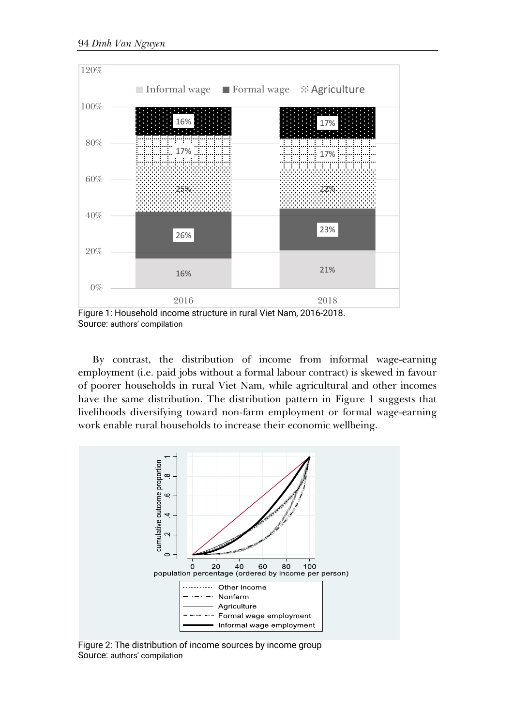

Figure 1: Household income structure in rural Viet Nam, 2016-2018. Source: authors' compilation

By contrast, the distribution of income from informal wage-earning employment (i.e. paid jobs without a formal labour contract) is skewed in favour of poorer households in rural Viet Nam, while agricultural and other incomes have the same distribution. The distribution pattern in Figure 1 suggests that livelihoods diversifying toward non-farm employment or formal wage-earning work enable rural households to increase their economic wellbeing.



Figure 2: The distribution of income sources by income group Source: authors' compilation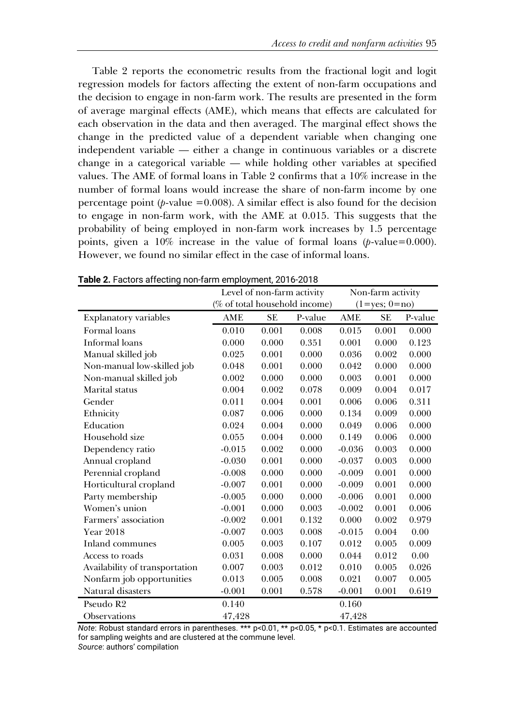Table 2 reports the econometric results from the fractional logit and logit regression models for factors affecting the extent of non-farm occupations and the decision to engage in non-farm work. The results are presented in the form of average marginal effects (AME), which means that effects are calculated for each observation in the data and then averaged. The marginal effect shows the change in the predicted value of a dependent variable when changing one independent variable — either a change in continuous variables or a discrete change in a categorical variable — while holding other variables at specified values. The AME of formal loans in Table 2 confirms that a 10% increase in the number of formal loans would increase the share of non-farm income by one percentage point  $(p$ -value =0.008). A similar effect is also found for the decision to engage in non-farm work, with the AME at 0.015. This suggests that the probability of being employed in non-farm work increases by 1.5 percentage points, given a 10% increase in the value of formal loans (*p*-value=0.000). However, we found no similar effect in the case of informal loans.

|                                | Level of non-farm activity    |           |         | Non-farm activity |                     |         |  |
|--------------------------------|-------------------------------|-----------|---------|-------------------|---------------------|---------|--|
|                                | (% of total household income) |           |         |                   | $(1 = yes; 0 = no)$ |         |  |
| Explanatory variables          | AME                           | <b>SE</b> | P-value | AME               | <b>SE</b>           | P-value |  |
| Formal loans                   | 0.010                         | 0.001     | 0.008   | 0.015             | 0.001               | 0.000   |  |
| Informal loans                 | 0.000                         | 0.000     | 0.351   | 0.001             | 0.000               | 0.123   |  |
| Manual skilled job             | 0.025                         | 0.001     | 0.000   | 0.036             | 0.002               | 0.000   |  |
| Non-manual low-skilled job     | 0.048                         | 0.001     | 0.000   | 0.042             | 0.000               | 0.000   |  |
| Non-manual skilled job         | 0.002                         | 0.000     | 0.000   | 0.003             | 0.001               | 0.000   |  |
| Marital status                 | 0.004                         | 0.002     | 0.078   | 0.009             | 0.004               | 0.017   |  |
| Gender                         | 0.011                         | 0.004     | 0.001   | 0.006             | 0.006               | 0.311   |  |
| Ethnicity                      | 0.087                         | 0.006     | 0.000   | 0.134             | 0.009               | 0.000   |  |
| Education                      | 0.024                         | 0.004     | 0.000   | 0.049             | 0.006               | 0.000   |  |
| Household size                 | 0.055                         | 0.004     | 0.000   | 0.149             | 0.006               | 0.000   |  |
| Dependency ratio               | $-0.015$                      | 0.002     | 0.000   | $-0.036$          | 0.003               | 0.000   |  |
| Annual cropland                | $-0.030$                      | 0.001     | 0.000   | $-0.037$          | 0.003               | 0.000   |  |
| Perennial cropland             | $-0.008$                      | 0.000     | 0.000   | $-0.009$          | 0.001               | 0.000   |  |
| Horticultural cropland         | $-0.007$                      | 0.001     | 0.000   | $-0.009$          | 0.001               | 0.000   |  |
| Party membership               | $-0.005$                      | 0.000     | 0.000   | $-0.006$          | 0.001               | 0.000   |  |
| Women's union                  | $-0.001$                      | 0.000     | 0.003   | $-0.002$          | 0.001               | 0.006   |  |
| Farmers' association           | $-0.002$                      | 0.001     | 0.132   | 0.000             | 0.002               | 0.979   |  |
| <b>Year 2018</b>               | $-0.007$                      | 0.003     | 0.008   | $-0.015$          | 0.004               | 0.00    |  |
| Inland communes                | 0.005                         | 0.003     | 0.107   | 0.012             | 0.005               | 0.009   |  |
| Access to roads                | 0.031                         | 0.008     | 0.000   | 0.044             | 0.012               | 0.00    |  |
| Availability of transportation | 0.007                         | 0.003     | 0.012   | 0.010             | 0.005               | 0.026   |  |
| Nonfarm job opportunities      | 0.013                         | 0.005     | 0.008   | 0.021             | 0.007               | 0.005   |  |
| Natural disasters              | $-0.001$                      | 0.001     | 0.578   | $-0.001$          | 0.001               | 0.619   |  |
| Pseudo R <sub>2</sub>          | 0.140                         |           |         | 0.160             |                     |         |  |
| <b>Observations</b>            | 47,428                        |           |         | 47,428            |                     |         |  |

**Table 2.** Factors affecting non-farm employment, 2016-2018

*Note*: Robust standard errors in parentheses. \*\*\* p<0.01, \*\* p<0.05, \* p<0.1. Estimates are accounted for sampling weights and are clustered at the commune level. *Source*: authors' compilation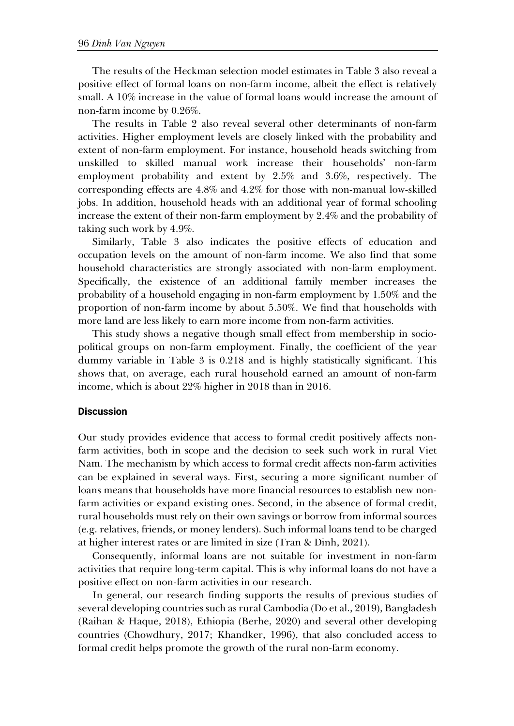The results of the Heckman selection model estimates in Table 3 also reveal a positive effect of formal loans on non-farm income, albeit the effect is relatively small. A 10% increase in the value of formal loans would increase the amount of non-farm income by 0.26%.

The results in Table 2 also reveal several other determinants of non-farm activities. Higher employment levels are closely linked with the probability and extent of non-farm employment. For instance, household heads switching from unskilled to skilled manual work increase their households' non-farm employment probability and extent by 2.5% and 3.6%, respectively. The corresponding effects are 4.8% and 4.2% for those with non-manual low-skilled jobs. In addition, household heads with an additional year of formal schooling increase the extent of their non-farm employment by 2.4% and the probability of taking such work by 4.9%.

Similarly, Table 3 also indicates the positive effects of education and occupation levels on the amount of non-farm income. We also find that some household characteristics are strongly associated with non-farm employment. Specifically, the existence of an additional family member increases the probability of a household engaging in non-farm employment by 1.50% and the proportion of non-farm income by about 5.50%. We find that households with more land are less likely to earn more income from non-farm activities.

This study shows a negative though small effect from membership in sociopolitical groups on non-farm employment. Finally, the coefficient of the year dummy variable in Table 3 is 0.218 and is highly statistically significant. This shows that, on average, each rural household earned an amount of non-farm income, which is about 22% higher in 2018 than in 2016.

#### **Discussion**

Our study provides evidence that access to formal credit positively affects nonfarm activities, both in scope and the decision to seek such work in rural Viet Nam. The mechanism by which access to formal credit affects non-farm activities can be explained in several ways. First, securing a more significant number of loans means that households have more financial resources to establish new nonfarm activities or expand existing ones. Second, in the absence of formal credit, rural households must rely on their own savings or borrow from informal sources (e.g. relatives, friends, or money lenders). Such informal loans tend to be charged at higher interest rates or are limited in size (Tran & Dinh, 2021).

Consequently, informal loans are not suitable for investment in non-farm activities that require long-term capital. This is why informal loans do not have a positive effect on non-farm activities in our research.

In general, our research finding supports the results of previous studies of several developing countries such as rural Cambodia (Do et al., 2019), Bangladesh (Raihan & Haque, 2018), Ethiopia (Berhe, 2020) and several other developing countries (Chowdhury, 2017; Khandker, 1996), that also concluded access to formal credit helps promote the growth of the rural non-farm economy.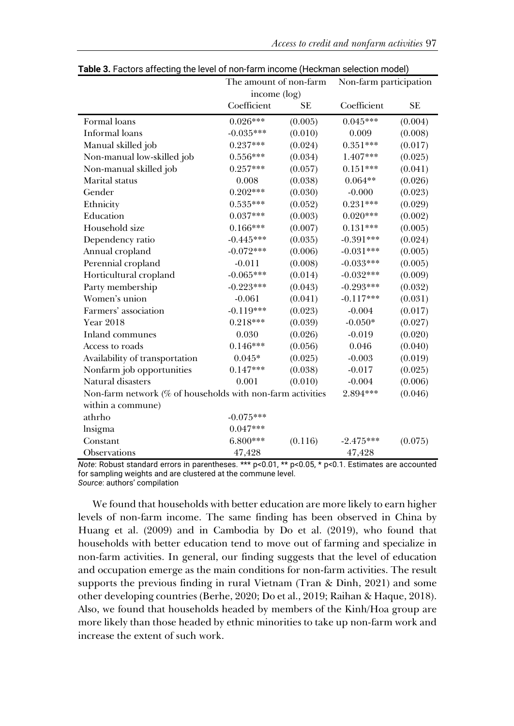|                                                            | The amount of non-farm |           | Non-farm participation |           |  |
|------------------------------------------------------------|------------------------|-----------|------------------------|-----------|--|
|                                                            | income (log)           |           |                        |           |  |
|                                                            | Coefficient            | <b>SE</b> | Coefficient            | <b>SE</b> |  |
| Formal loans                                               | $0.026***$             | (0.005)   | $0.045***$             | (0.004)   |  |
| <b>Informal</b> loans                                      | $-0.035***$            | (0.010)   | 0.009                  | (0.008)   |  |
| Manual skilled job                                         | $0.237***$             | (0.024)   | $0.351***$             | (0.017)   |  |
| Non-manual low-skilled job                                 | $0.556***$             | (0.034)   | 1.407***               | (0.025)   |  |
| Non-manual skilled job                                     | $0.257***$             | (0.057)   | $0.151***$             | (0.041)   |  |
| Marital status                                             | 0.008                  | (0.038)   | $0.064**$              | (0.026)   |  |
| Gender                                                     | $0.202***$             | (0.030)   | $-0.000$               | (0.023)   |  |
| Ethnicity                                                  | $0.535***$             | (0.052)   | $0.231***$             | (0.029)   |  |
| Education                                                  | $0.037***$             | (0.003)   | $0.020***$             | (0.002)   |  |
| Household size                                             | $0.166***$             | (0.007)   | $0.131***$             | (0.005)   |  |
| Dependency ratio                                           | $-0.445***$            | (0.035)   | $-0.391***$            | (0.024)   |  |
| Annual cropland                                            | $-0.072***$            | (0.006)   | $-0.031***$            | (0.005)   |  |
| Perennial cropland                                         | $-0.011$               | (0.008)   | $-0.033***$            | (0.005)   |  |
| Horticultural cropland                                     | $-0.065***$            | (0.014)   | $-0.032***$            | (0.009)   |  |
| Party membership                                           | $-0.223***$            | (0.043)   | $-0.293***$            | (0.032)   |  |
| Women's union                                              | $-0.061$               | (0.041)   | $-0.117***$            | (0.031)   |  |
| Farmers' association                                       | $-0.119***$            | (0.023)   | $-0.004$               | (0.017)   |  |
| <b>Year 2018</b>                                           | $0.218***$             | (0.039)   | $-0.050*$              | (0.027)   |  |
| Inland communes                                            | 0.030                  | (0.026)   | $-0.019$               | (0.020)   |  |
| Access to roads                                            | $0.146***$             | (0.056)   | 0.046                  | (0.040)   |  |
| Availability of transportation                             | $0.045*$               | (0.025)   | $-0.003$               | (0.019)   |  |
| Nonfarm job opportunities                                  | $0.147***$             | (0.038)   | $-0.017$               | (0.025)   |  |
| Natural disasters                                          | 0.001                  | (0.010)   | $-0.004$               | (0.006)   |  |
| Non-farm network (% of households with non-farm activities |                        |           | 2.894***               | (0.046)   |  |
| within a commune)                                          |                        |           |                        |           |  |
| athrho                                                     | $-0.075***$            |           |                        |           |  |
| lnsigma                                                    | $0.047***$             |           |                        |           |  |
| Constant                                                   | $6.800***$             | (0.116)   | $-2.475***$            | (0.075)   |  |
| Observations                                               | 47,428                 |           | 47,428                 |           |  |

|  |  |  | Table 3. Factors affecting the level of non-farm income (Heckman selection model) |
|--|--|--|-----------------------------------------------------------------------------------|
|--|--|--|-----------------------------------------------------------------------------------|

*Note*: Robust standard errors in parentheses. \*\*\* p<0.01, \*\* p<0.05, \* p<0.1. Estimates are accounted for sampling weights and are clustered at the commune level. *Source*: authors' compilation

We found that households with better education are more likely to earn higher levels of non-farm income. The same finding has been observed in China by Huang et al. (2009) and in Cambodia by Do et al. (2019), who found that households with better education tend to move out of farming and specialize in non-farm activities. In general, our finding suggests that the level of education and occupation emerge as the main conditions for non-farm activities. The result supports the previous finding in rural Vietnam (Tran & Dinh, 2021) and some other developing countries (Berhe, 2020; Do et al., 2019; Raihan & Haque, 2018). Also, we found that households headed by members of the Kinh/Hoa group are more likely than those headed by ethnic minorities to take up non-farm work and increase the extent of such work.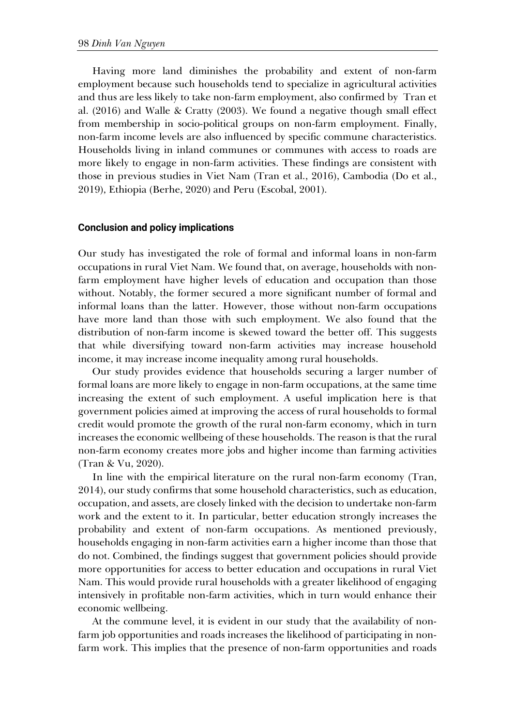Having more land diminishes the probability and extent of non-farm employment because such households tend to specialize in agricultural activities and thus are less likely to take non-farm employment, also confirmed by Tran et al. (2016) and Walle & Cratty (2003). We found a negative though small effect from membership in socio-political groups on non-farm employment. Finally, non-farm income levels are also influenced by specific commune characteristics. Households living in inland communes or communes with access to roads are more likely to engage in non-farm activities. These findings are consistent with those in previous studies in Viet Nam (Tran et al., 2016), Cambodia (Do et al., 2019), Ethiopia (Berhe, 2020) and Peru (Escobal, 2001).

#### **Conclusion and policy implications**

Our study has investigated the role of formal and informal loans in non-farm occupations in rural Viet Nam. We found that, on average, households with nonfarm employment have higher levels of education and occupation than those without. Notably, the former secured a more significant number of formal and informal loans than the latter. However, those without non-farm occupations have more land than those with such employment. We also found that the distribution of non-farm income is skewed toward the better off. This suggests that while diversifying toward non-farm activities may increase household income, it may increase income inequality among rural households.

Our study provides evidence that households securing a larger number of formal loans are more likely to engage in non-farm occupations, at the same time increasing the extent of such employment. A useful implication here is that government policies aimed at improving the access of rural households to formal credit would promote the growth of the rural non-farm economy, which in turn increases the economic wellbeing of these households. The reason is that the rural non-farm economy creates more jobs and higher income than farming activities (Tran & Vu, 2020).

In line with the empirical literature on the rural non-farm economy (Tran, 2014), our study confirms that some household characteristics, such as education, occupation, and assets, are closely linked with the decision to undertake non-farm work and the extent to it. In particular, better education strongly increases the probability and extent of non-farm occupations. As mentioned previously, households engaging in non-farm activities earn a higher income than those that do not. Combined, the findings suggest that government policies should provide more opportunities for access to better education and occupations in rural Viet Nam. This would provide rural households with a greater likelihood of engaging intensively in profitable non-farm activities, which in turn would enhance their economic wellbeing.

At the commune level, it is evident in our study that the availability of nonfarm job opportunities and roads increases the likelihood of participating in nonfarm work. This implies that the presence of non-farm opportunities and roads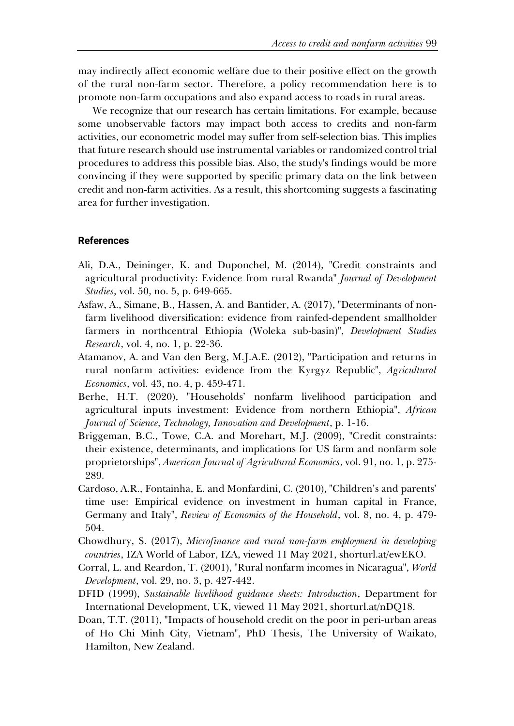may indirectly affect economic welfare due to their positive effect on the growth of the rural non-farm sector. Therefore, a policy recommendation here is to promote non-farm occupations and also expand access to roads in rural areas.

We recognize that our research has certain limitations. For example, because some unobservable factors may impact both access to credits and non-farm activities, our econometric model may suffer from self-selection bias. This implies that future research should use instrumental variables or randomized control trial procedures to address this possible bias. Also, the study's findings would be more convincing if they were supported by specific primary data on the link between credit and non-farm activities. As a result, this shortcoming suggests a fascinating area for further investigation.

### **References**

- Ali, D.A., Deininger, K. and Duponchel, M. (2014), "Credit constraints and agricultural productivity: Evidence from rural Rwanda" *Journal of Development Studies*, vol. 50, no. 5, p. 649-665.
- Asfaw, A., Simane, B., Hassen, A. and Bantider, A. (2017), "Determinants of nonfarm livelihood diversification: evidence from rainfed-dependent smallholder farmers in northcentral Ethiopia (Woleka sub-basin)", *Development Studies Research*, vol. 4, no. 1, p. 22-36.
- Atamanov, A. and Van den Berg, M.J.A.E. (2012), "Participation and returns in rural nonfarm activities: evidence from the Kyrgyz Republic", *Agricultural Economics*, vol. 43, no. 4, p. 459-471.
- Berhe, H.T. (2020), "Households' nonfarm livelihood participation and agricultural inputs investment: Evidence from northern Ethiopia", *African Journal of Science, Technology, Innovation and Development*, p. 1-16.
- Briggeman, B.C., Towe, C.A. and Morehart, M.J. (2009), "Credit constraints: their existence, determinants, and implications for US farm and nonfarm sole proprietorships", *American Journal of Agricultural Economics*, vol. 91, no. 1, p. 275- 289.
- Cardoso, A.R., Fontainha, E. and Monfardini, C. (2010), "Children's and parents' time use: Empirical evidence on investment in human capital in France, Germany and Italy", *Review of Economics of the Household*, vol. 8, no. 4, p. 479- 504.
- Chowdhury, S. (2017), *Microfinance and rural non-farm employment in developing countries*, IZA World of Labor, IZA, viewed 11 May 2021, shorturl.at/ewEKO.
- Corral, L. and Reardon, T. (2001), "Rural nonfarm incomes in Nicaragua", *World Development*, vol. 29, no. 3, p. 427-442.
- DFID (1999), *Sustainable livelihood guidance sheets: Introduction*, Department for International Development, UK, viewed 11 May 2021, shorturl.at/nDQ18.
- Doan, T.T. (2011), "Impacts of household credit on the poor in peri-urban areas of Ho Chi Minh City, Vietnam", PhD Thesis, The University of Waikato, Hamilton, New Zealand.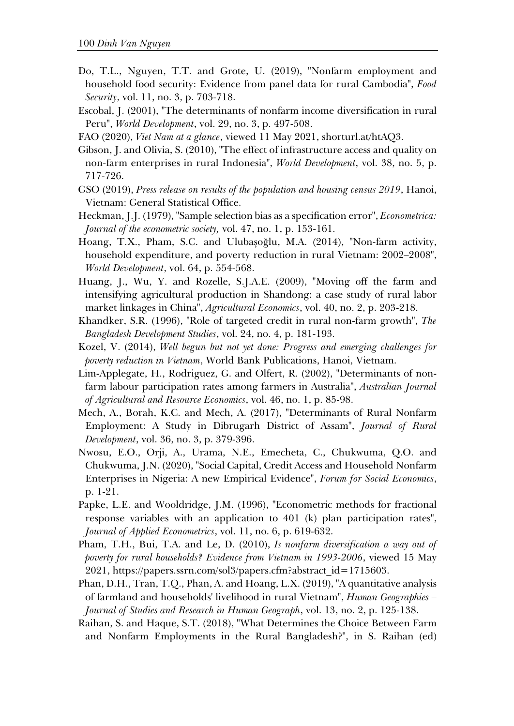- Do, T.L., Nguyen, T.T. and Grote, U. (2019), "Nonfarm employment and household food security: Evidence from panel data for rural Cambodia", *Food Security*, vol. 11, no. 3, p. 703-718.
- Escobal, J. (2001), "The determinants of nonfarm income diversification in rural Peru", *World Development*, vol. 29, no. 3, p. 497-508.
- FAO (2020), *Viet Nam at a glance*, viewed 11 May 2021, shorturl.at/htAQ3.

Gibson, J. and Olivia, S. (2010), "The effect of infrastructure access and quality on non-farm enterprises in rural Indonesia", *World Development*, vol. 38, no. 5, p. 717-726.

- GSO (2019), *Press release on results of the population and housing census 2019*, Hanoi, Vietnam: General Statistical Office.
- Heckman, J.J. (1979), "Sample selection bias as a specification error", *Econometrica: Journal of the econometric society,* vol. 47, no. 1, p. 153-161.
- Hoang, T.X., Pham, S.C. and Ulubaşoğlu, M.A. (2014), "Non-farm activity, household expenditure, and poverty reduction in rural Vietnam: 2002–2008", *World Development*, vol. 64, p. 554-568.
- Huang, J., Wu, Y. and Rozelle, S.J.A.E. (2009), "Moving off the farm and intensifying agricultural production in Shandong: a case study of rural labor market linkages in China", *Agricultural Economics*, vol. 40, no. 2, p. 203-218.
- Khandker, S.R. (1996), "Role of targeted credit in rural non-farm growth", *The Bangladesh Development Studies*, vol. 24, no. 4, p. 181-193.
- Kozel, V. (2014), *Well begun but not yet done: Progress and emerging challenges for poverty reduction in Vietnam*, World Bank Publications, Hanoi, Vietnam.
- Lim‐Applegate, H., Rodriguez, G. and Olfert, R. (2002), "Determinants of non‐ farm labour participation rates among farmers in Australia", *Australian Journal of Agricultural and Resource Economics*, vol. 46, no. 1, p. 85-98.
- Mech, A., Borah, K.C. and Mech, A. (2017), "Determinants of Rural Nonfarm Employment: A Study in Dibrugarh District of Assam", *Journal of Rural Development*, vol. 36, no. 3, p. 379-396.
- Nwosu, E.O., Orji, A., Urama, N.E., Emecheta, C., Chukwuma, Q.O. and Chukwuma, J.N. (2020), "Social Capital, Credit Access and Household Nonfarm Enterprises in Nigeria: A new Empirical Evidence", *Forum for Social Economics*, p. 1-21.
- Papke, L.E. and Wooldridge, J.M. (1996), "Econometric methods for fractional response variables with an application to 401 (k) plan participation rates", *Journal of Applied Econometrics*, vol. 11, no. 6, p. 619-632.
- Pham, T.H., Bui, T.A. and Le, D. (2010), *Is nonfarm diversification a way out of poverty for rural households? Evidence from Vietnam in 1993-2006*, viewed 15 May 2021, https://papers.ssrn.com/sol3/papers.cfm?abstract\_id=1715603.
- Phan, D.H., Tran, T.Q., Phan, A. and Hoang, L.X. (2019), "A quantitative analysis of farmland and households' livelihood in rural Vietnam", *Human Geographies – Journal of Studies and Research in Human Geograph*, vol. 13, no. 2, p. 125-138.
- Raihan, S. and Haque, S.T. (2018), "What Determines the Choice Between Farm and Nonfarm Employments in the Rural Bangladesh?", in S. Raihan (ed)